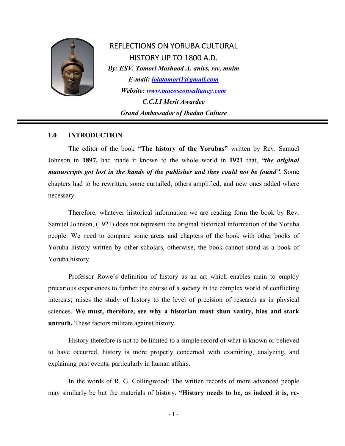

REFLECTIONS ON YORUBA CULTURAL HISTORY UP TO 1800 A.D. *By: ESV. Tomori Moshood A. anivs, rsv, mnim E-mail: [lolatomori1@gmail.com](mailto:lolatomori1@gmail.com)  Website: [www.macosconsultancy.com](http://www.macosconsultancy.com/) C.C.I.I Merit Awardee Grand Ambassador of Ibadan Culture*

#### **1.0 INTRODUCTION**

The editor of the book **"The history of the Yorubas"** written by Rev. Samuel Johnson in **1897,** had made it known to the whole world in **1921** that, *"the original manuscripts got lost in the hands of the publisher and they could not be found".* Some chapters had to be rewritten, some curtailed, others amplified, and new ones added where necessary.

Therefore, whatever historical information we are reading form the book by Rev. Samuel Johnson, (1921) does not represent the original historical information of the Yoruba people. We need to compare some areas and chapters of the book with other books of Yoruba history written by other scholars, otherwise, the book cannot stand as a book of Yoruba history.

Professor Rowe's definition of history as an art which enables main to employ precarious experiences to further the course of a society in the complex world of conflicting interests; raises the study of history to the level of precision of research as in physical sciences. **We must, therefore, see why a historian must shun vanity, bias and stark untruth.** These factors militate against history.

History therefore is not to be limited to a simple record of what is known or believed to have occurred, history is more properly concerned with examining, analyzing, and explaining past events, particularly in human affairs.

In the words of R. G. Collingwood: The written records of more advanced people may similarly be but the materials of history. **"History needs to be, as indeed it is, re-**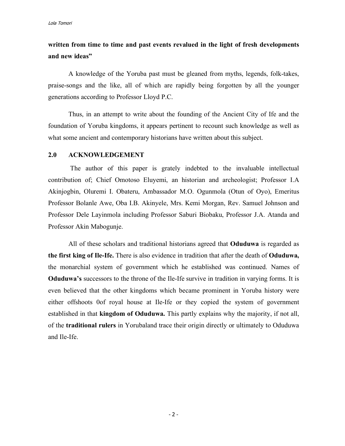# **written from time to time and past events revalued in the light of fresh developments and new ideas"**

A knowledge of the Yoruba past must be gleaned from myths, legends, folk-takes, praise-songs and the like, all of which are rapidly being forgotten by all the younger generations according to Professor Lloyd P.C.

Thus, in an attempt to write about the founding of the Ancient City of Ife and the foundation of Yoruba kingdoms, it appears pertinent to recount such knowledge as well as what some ancient and contemporary historians have written about this subject.

#### **2.0 ACKNOWLEDGEMENT**

The author of this paper is grately indebted to the invaluable intellectual contribution of; Chief Omotoso Eluyemi, an historian and archeologist; Professor I.A Akinjogbin, Oluremi I. Obateru, Ambassador M.O. Ogunmola (Otun of Oyo), Emeritus Professor Bolanle Awe, Oba I.B. Akinyele, Mrs. Kemi Morgan, Rev. Samuel Johnson and Professor Dele Layinmola including Professor Saburi Biobaku, Professor J.A. Atanda and Professor Akin Mabogunje.

All of these scholars and traditional historians agreed that **Oduduwa** is regarded as **the first king of Ile-Ife.** There is also evidence in tradition that after the death of **Oduduwa,** the monarchial system of government which he established was continued. Names of **Oduduwa's** successors to the throne of the Ile-Ife survive in tradition in varying forms. It is even believed that the other kingdoms which became prominent in Yoruba history were either offshoots 0of royal house at Ile-Ife or they copied the system of government established in that **kingdom of Oduduwa.** This partly explains why the majority, if not all, of the **traditional rulers** in Yorubaland trace their origin directly or ultimately to Oduduwa and Ile-Ife.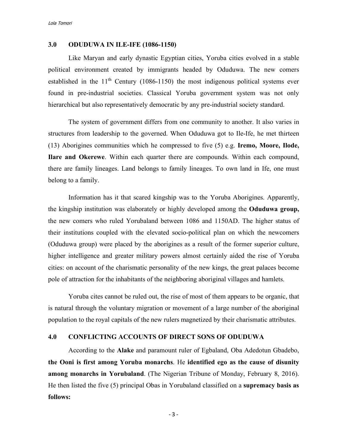#### **3.0 ODUDUWA IN ILE-IFE (1086-1150)**

Like Maryan and early dynastic Egyptian cities, Yoruba cities evolved in a stable political environment created by immigrants headed by Oduduwa. The new comers established in the  $11<sup>th</sup>$  Century (1086-1150) the most indigenous political systems ever found in pre-industrial societies. Classical Yoruba government system was not only hierarchical but also representatively democratic by any pre-industrial society standard.

The system of government differs from one community to another. It also varies in structures from leadership to the governed. When Oduduwa got to Ile-Ife, he met thirteen (13) Aborigines communities which he compressed to five (5) e.g. **Iremo, Moore, Ilode, Ilare and Okerewe**. Within each quarter there are compounds. Within each compound, there are family lineages. Land belongs to family lineages. To own land in Ife, one must belong to a family.

Information has it that scared kingship was to the Yoruba Aborigines. Apparently, the kingship institution was elaborately or highly developed among the **Oduduwa group,** the new comers who ruled Yorubaland between 1086 and 1150AD. The higher status of their institutions coupled with the elevated socio-political plan on which the newcomers (Oduduwa group) were placed by the aborigines as a result of the former superior culture, higher intelligence and greater military powers almost certainly aided the rise of Yoruba cities: on account of the charismatic personality of the new kings, the great palaces become pole of attraction for the inhabitants of the neighboring aboriginal villages and hamlets.

Yoruba cites cannot be ruled out, the rise of most of them appears to be organic, that is natural through the voluntary migration or movement of a large number of the aboriginal population to the royal capitals of the new rulers magnetized by their charismatic attributes.

#### **4.0 CONFLICTING ACCOUNTS OF DIRECT SONS OF ODUDUWA**

According to the **Alake** and paramount ruler of Egbaland, Oba Adedotun Gbadebo, **the Ooni is first among Yoruba monarchs**. He **identified ego as the cause of disunity among monarchs in Yorubaland**. (The Nigerian Tribune of Monday, February 8, 2016). He then listed the five (5) principal Obas in Yorubaland classified on a **supremacy basis as follows:**

- 3 -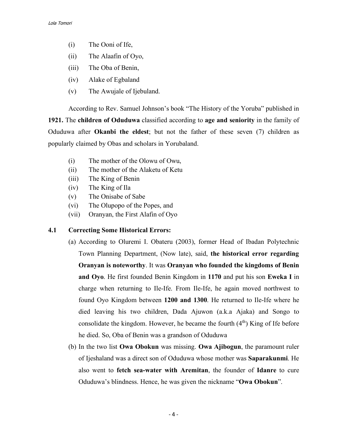- (i) The Ooni of Ife,
- (ii) The Alaafin of Oyo,
- (iii) The Oba of Benin,
- (iv) Alake of Egbaland
- (v) The Awujale of Ijebuland.

According to Rev. Samuel Johnson's book "The History of the Yoruba" published in **1921.** The **children of Oduduwa** classified according to **age and seniority** in the family of Oduduwa after **Okanbi the eldest**; but not the father of these seven (7) children as popularly claimed by Obas and scholars in Yorubaland.

- (i) The mother of the Olowu of Owu,
- (ii) The mother of the Alaketu of Ketu
- (iii) The King of Benin
- (iv) The King of Ila
- (v) The Onisabe of Sabe
- (vi) The Olupopo of the Popes, and
- (vii) Oranyan, the First Alafin of Oyo

# **4.1 Correcting Some Historical Errors:**

- (a) According to Oluremi I. Obateru (2003), former Head of Ibadan Polytechnic Town Planning Department, (Now late), said, **the historical error regarding Oranyan is noteworthy**. It was **Oranyan who founded the kingdoms of Benin and Oyo**. He first founded Benin Kingdom in **1170** and put his son **Eweka I** in charge when returning to Ile-Ife. From Ile-Ife, he again moved northwest to found Oyo Kingdom between **1200 and 1300**. He returned to Ile-Ife where he died leaving his two children, Dada Ajuwon (a.k.a Ajaka) and Songo to consolidate the kingdom. However, he became the fourth  $(4<sup>th</sup>)$  King of Ife before he died. So, Oba of Benin was a grandson of Oduduwa
- (b) In the two list **Owa Obokun** was missing. **Owa Ajibogun**, the paramount ruler of Ijeshaland was a direct son of Oduduwa whose mother was **Saparakunmi**. He also went to **fetch sea-water with Aremitan**, the founder of **Idanre** to cure Oduduwa's blindness. Hence, he was given the nickname "**Owa Obokun**".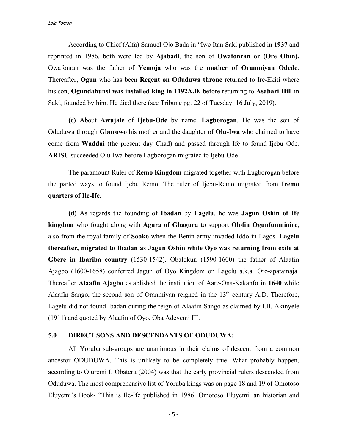According to Chief (Alfa) Samuel Ojo Bada in "Iwe Itan Saki published in **1937** and reprinted in 1986, both were led by **Ajabadi**, the son of **Owafonran or (Ore Otun).** Owafonran was the father of **Yemoja** who was the **mother of Oranmiyan Odede**. Thereafter, **Ogun** who has been **Regent on Oduduwa throne** returned to Ire-Ekiti where his son, **Ogundahunsi was installed king in 1192A.D.** before returning to **Asabari Hill** in Saki, founded by him. He died there (see Tribune pg. 22 of Tuesday, 16 July, 2019).

**(c)** About **Awujale** of **Ijebu-Ode** by name, **Lagborogan**. He was the son of Oduduwa through **Gborowo** his mother and the daughter of **Olu-Iwa** who claimed to have come from **Waddai** (the present day Chad) and passed through Ife to found Ijebu Ode. **ARISU** succeeded Olu-Iwa before Lagborogan migrated to Ijebu-Ode

The paramount Ruler of **Remo Kingdom** migrated together with Lugborogan before the parted ways to found Ijebu Remo. The ruler of Ijebu-Remo migrated from **Iremo quarters of Ile-Ife**.

**(d)** As regards the founding of **Ibadan** by **Lagelu**, he was **Jagun Oshin of Ife kingdom** who fought along with **Agura of Gbagura** to support **Olofin Ogunfunminire**, also from the royal family of **Sooko** when the Benin army invaded Iddo in Lagos. **Lagelu thereafter, migrated to Ibadan as Jagun Oshin while Oyo was returning from exile at Gbere in Ibariba country** (1530-1542). Obalokun (1590-1600) the father of Alaafin Ajagbo (1600-1658) conferred Jagun of Oyo Kingdom on Lagelu a.k.a. Oro-apatamaja. Thereafter **Alaafin Ajagbo** established the institution of Aare-Ona-Kakanfo in **1640** while Alaafin Sango, the second son of Oranmiyan reigned in the  $13<sup>th</sup>$  century A.D. Therefore, Lagelu did not found Ibadan during the reign of Alaafin Sango as claimed by I.B. Akinyele (1911) and quoted by Alaafin of Oyo, Oba Adeyemi III.

# **5.0 DIRECT SONS AND DESCENDANTS OF ODUDUWA:**

All Yoruba sub-groups are unanimous in their claims of descent from a common ancestor ODUDUWA. This is unlikely to be completely true. What probably happen, according to Oluremi I. Obateru (2004) was that the early provincial rulers descended from Oduduwa. The most comprehensive list of Yoruba kings was on page 18 and 19 of Omotoso Eluyemi's Book- "This is Ile-Ife published in 1986. Omotoso Eluyemi, an historian and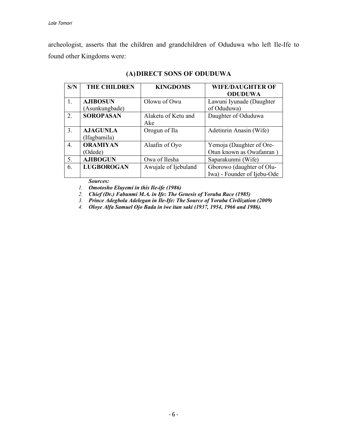archeologist, asserts that the children and grandchildren of Oduduwa who left Ile-Ife to found other Kingdoms were:

| S/N | <b>THE CHILDREN</b> | <b>KINGDOMS</b>      | <b>WIFE/DAUGHTER OF</b>     |  |
|-----|---------------------|----------------------|-----------------------------|--|
|     |                     |                      | <b>ODUDUWA</b>              |  |
| 1.  | <b>AJIBOSUN</b>     | Olowu of Owu         | Lawuni Iyunade (Daughter    |  |
|     | (Asunkungbade)      |                      | of Oduduwa)                 |  |
| 2.  | <b>SOROPASAN</b>    | Alaketu of Ketu and  | Daughter of Oduduwa         |  |
|     |                     | Ake                  |                             |  |
| 3.  | <b>AJAGUNLA</b>     | Orogun of Ila        | Adetinrin Anasin (Wife)     |  |
|     | (Ifagbamila)        |                      |                             |  |
| 4.  | <b>ORAMIYAN</b>     | Alaafin of Oyo       | Yemoja (Daughter of Ore-    |  |
|     | (Odede)             |                      | Otun known as Owafanran)    |  |
| 5.  | <b>AJIBOGUN</b>     | Owa of Ilesha        | Saparakunmi (Wife)          |  |
| 6.  | <b>LUGBOROGAN</b>   | Awujale of Ijebuland | Gborowo (daughter of Olu-   |  |
|     |                     |                      | Iwa) - Founder of Ijebu-Ode |  |

# **(A)DIRECT SONS OF ODUDUWA**

*Sources:*

*1. Omotosho Eluyemi in this Ile-ife (1986)*

*2. Chief (Dr.) Fabunmi M.A. in Ife: The Genesis of Yoruba Race (1985)*

*3. Prince Adegbola Adelegan in Ile-Ife: The Source of Yoruba Civilization (2009)*

*4. Oloye Alfa Samuel Ojo Bada in iwe itan saki (1937, 1954, 1966 and 1986).*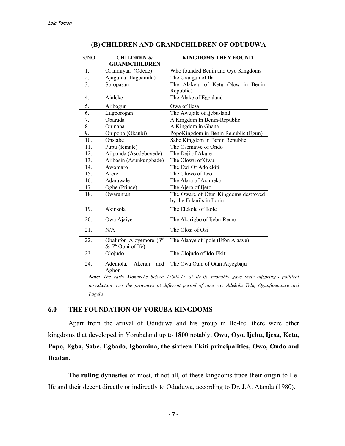| S/NO             | <b>CHILDREN &amp;</b>                                     | <b>KINGDOMS THEY FOUND</b>           |  |  |
|------------------|-----------------------------------------------------------|--------------------------------------|--|--|
|                  | <b>GRANDCHILDREN</b>                                      |                                      |  |  |
| 1.               | Oranmiyan (Odede)                                         | Who founded Benin and Oyo Kingdoms   |  |  |
| $\overline{2}$ . | Ajagunla (Ifagbamila)                                     | The Orangun of Ila                   |  |  |
| $\overline{3}$ . | Soropasan                                                 | The Alaketu of Ketu (Now in Benin    |  |  |
|                  |                                                           | Republic)                            |  |  |
| 4.               | Ajaleke                                                   | The Alake of Egbaland                |  |  |
| 5.               | Ajibogun                                                  | Owa of Ilesa                         |  |  |
| 6.               | Lugborogan                                                | The Awujale of Ijebu-land            |  |  |
| 7.               | Obarada                                                   | A Kingdom In Benin-Republic          |  |  |
| 8.               | Oninana                                                   | A Kingdom in Ghana                   |  |  |
| 9.               | Onipopo (Okanbi)                                          | PopoKingdom in Benin Republic (Egun) |  |  |
| 10.              | Onsiabe                                                   | Sabe Kingdom in Benin Republic       |  |  |
| 11.              | Pupu (female)                                             | The Osemawe of Ondo                  |  |  |
| 12.              | Ajiponda (Asodeboyede)                                    | The Deji of Akure                    |  |  |
| 13.              | Ajibosin (Asunkungbade)                                   | The Olowu of Owu                     |  |  |
| 14.              | Awomaro                                                   | The Ewi Of Ado ekiti                 |  |  |
| 15.              | Arere                                                     | The Oluwo of Iwo                     |  |  |
| 16.              | Adarawale                                                 | The Alara of Arameko                 |  |  |
| 17.              | Ogbe (Prince)                                             | The Ajero of Ijero                   |  |  |
| 18.              | Owaranran                                                 | The Oware of Otun Kingdoms destroyed |  |  |
|                  |                                                           | by the Fulani's in Ilorin            |  |  |
| 19.              | Akinsola                                                  | The Elekole of Ikole                 |  |  |
| 20.              | Owa Ajaiye                                                | The Akarigbo of Ijebu-Remo           |  |  |
| 21.              | N/A                                                       | The Olosi of Osi                     |  |  |
| 22.              | Obalufon Aloyemore (3rd<br>& 5 <sup>th</sup> Ooni of Ife) | The Alaaye of Ipole (Efon Alaaye)    |  |  |
| 23.              | Olojudo                                                   | The Olojudo of Ido-Ekiti             |  |  |
| 24.              | Ademola,<br>Akeran<br>and<br>Agbon                        | The Owa Otan of Otan Aiyegbaju       |  |  |

## **(B) CHILDREN AND GRANDCHILDREN OF ODUDUWA**

*Note: The early Monarchs before 1500A.D. at Ile-Ife probably gave their offspring's political jurisdiction over the provinces at different period of time e.g. Adekola Telu, Ogunfunminire and Lagelu.*

#### **6.0 THE FOUNDATION OF YORUBA KINGDOMS**

Apart from the arrival of Oduduwa and his group in Ile-Ife, there were other kingdoms that developed in Yorubaland up to **1800** notably, **Owu, Oyo, Ijebu, Ijesa, Ketu, Popo, Egba, Sabe, Egbado, Igbomina, the sixteen Ekiti principalities, Owo, Ondo and Ibadan.**

The **ruling dynasties** of most, if not all, of these kingdoms trace their origin to Ile-Ife and their decent directly or indirectly to Oduduwa, according to Dr. J.A. Atanda (1980).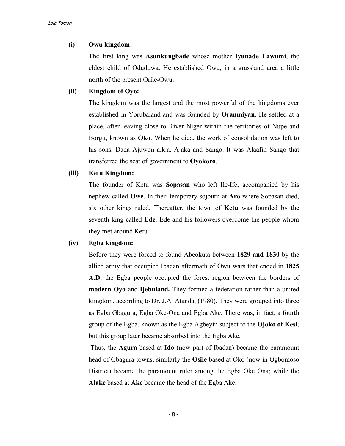## **(i) Owu kingdom:**

The first king was **Asunkungbade** whose mother **Iyunade Lawumi**, the eldest child of Oduduwa. He established Owu, in a grassland area a little north of the present Orile-Owu.

# **(ii) Kingdom of Oyo:**

The kingdom was the largest and the most powerful of the kingdoms ever established in Yorubaland and was founded by **Oranmiyan**. He settled at a place, after leaving close to River Niger within the territories of Nupe and Borgu, known as **Oko**. When he died, the work of consolidation was left to his sons, Dada Ajuwon a.k.a. Ajaka and Sango. It was Alaafin Sango that transferred the seat of government to **Oyokoro**.

#### **(iii) Ketu Kingdom:**

The founder of Ketu was **Sopasan** who left Ile-Ife, accompanied by his nephew called **Owe**. In their temporary sojourn at **Aro** where Sopasan died, six other kings ruled. Thereafter, the town of **Ketu** was founded by the seventh king called **Ede**. Ede and his followers overcome the people whom they met around Ketu.

## **(iv) Egba kingdom:**

Before they were forced to found Abeokuta between **1829 and 1830** by the allied army that occupied Ibadan aftermath of Owu wars that ended in **1825 A.D**, the Egba people occupied the forest region between the borders of **modern Oyo** and **Ijebuland.** They formed a federation rather than a united kingdom, according to Dr. J.A. Atanda, (1980). They were grouped into three as Egba Gbagura, Egba Oke-Ona and Egba Ake. There was, in fact, a fourth group of the Egba, known as the Egba Agbeyin subject to the **Ojoko of Kesi**, but this group later became absorbed into the Egba Ake.

Thus, the **Agura** based at **Ido** (now part of Ibadan) became the paramount head of Gbagura towns; similarly the **Osile** based at Oko (now in Ogbomoso District) became the paramount ruler among the Egba Oke Ona; while the **Alake** based at **Ake** became the head of the Egba Ake.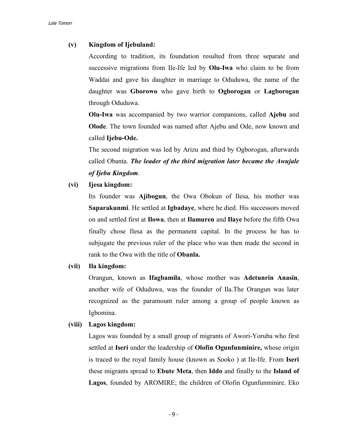# **(v) Kingdom of Ijebuland:**

According to tradition, its foundation resulted from three separate and successive migrations from Ile-Ife led by **Olu-Iwa** who claim to be from Waddai and gave his daughter in marriage to Oduduwa, the name of the daughter was **Gborowo** who gave birth to **Ogborogan** or **Lagborogan** through Oduduwa.

**Olu-Iwa** was accompanied by two warrior companions, called **Ajebu** and **Olode**. The town founded was named after Ajebu and Ode, now known and called **Ijebu-Ode.**

The second migration was led by Arizu and third by Ogborogan, afterwards called Obanta. *The leader of the third migration later became the Awujale of Ijebu Kingdom*.

**(vi) Ijesa kingdom:**

Its founder was **Ajibogun**, the Owa Obokun of Ilesa, his mother was **Saparakunmi**. He settled at **Igbadaye**, where he died. His successors moved on and settled first at **Ilowa**, then at **Ilamuren** and **Ilaye** before the fifth Owa finally chose Ilesa as the permanent capital. In the process he has to subjugate the previous ruler of the place who was then made the second in rank to the Owa with the title of **Obanla.**

# **(vii) Ila kingdom:**

Orangun, known as **Ifagbamila**, whose mother was **Adetunrin Anasin**, another wife of Oduduwa, was the founder of Ila.The Orangun was later recognized as the paramount ruler among a group of people known as Igbomina.

# **(viii) Lagos kingdom:**

Lagos was founded by a small group of migrants of Awori-Yoruba who first settled at **Iseri** under the leadership of **Olofin Ogunfunminire,** whose origin is traced to the royal family house (known as Sooko ) at Ile-Ife. From **Iseri** these migrants spread to **Ebute Meta**, then **Iddo** and finally to the **Island of Lagos**, founded by AROMIRE; the children of Olofin Ogunfunminire. Eko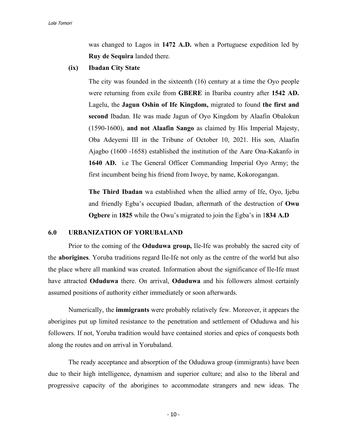was changed to Lagos in **1472 A.D.** when a Portuguese expedition led by **Ruy de Sequira** landed there.

**(ix) Ibadan City State**

The city was founded in the sixteenth (16) century at a time the Oyo people were returning from exile from **GBERE** in Ibariba country after **1542 AD.** Lagelu, the **Jagun Oshin of Ife Kingdom,** migrated to found **the first and second** Ibadan. He was made Jagun of Oyo Kingdom by Alaafin Obalokun (1590-1600), **and not Alaafin Sango** as claimed by His Imperial Majesty, Oba Adeyemi III in the Tribune of October 10, 2021. His son, Alaafin Ajagbo (1600 -1658) established the institution of the Aare Ona-Kakanfo in **1640 AD.** i.e The General Officer Commanding Imperial Oyo Army; the first incumbent being his friend from Iwoye, by name, Kokorogangan.

**The Third Ibadan** wa established when the allied army of Ife, Oyo, Ijebu and friendly Egba's occupied Ibadan, aftermath of the destruction of **Owu Ogbere** in **1825** while the Owu's migrated to join the Egba's in 1**834 A.D**

#### **6.0 URBANIZATION OF YORUBALAND**

Prior to the coming of the **Oduduwa group,** Ile-Ife was probably the sacred city of the **aborigines**. Yoruba traditions regard Ile-Ife not only as the centre of the world but also the place where all mankind was created. Information about the significance of Ile-Ife must have attracted **Oduduwa** there. On arrival, **Oduduwa** and his followers almost certainly assumed positions of authority either immediately or soon afterwards.

Numerically, the **immigrants** were probably relatively few. Moreover, it appears the aborigines put up limited resistance to the penetration and settlement of Oduduwa and his followers. If not, Yoruba tradition would have contained stories and epics of conquests both along the routes and on arrival in Yorubaland.

The ready acceptance and absorption of the Oduduwa group (immigrants) have been due to their high intelligence, dynamism and superior culture; and also to the liberal and progressive capacity of the aborigines to accommodate strangers and new ideas. The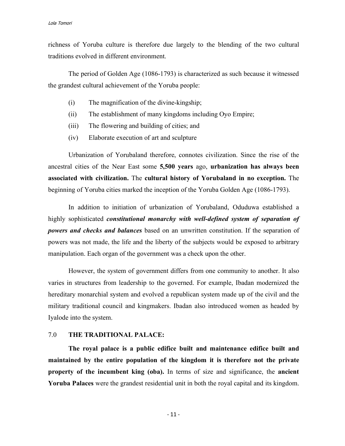richness of Yoruba culture is therefore due largely to the blending of the two cultural traditions evolved in different environment.

The period of Golden Age (1086-1793) is characterized as such because it witnessed the grandest cultural achievement of the Yoruba people:

- (i) The magnification of the divine-kingship;
- (ii) The establishment of many kingdoms including Oyo Empire;
- (iii) The flowering and building of cities; and
- (iv) Elaborate execution of art and sculpture

Urbanization of Yorubaland therefore, connotes civilization. Since the rise of the ancestral cities of the Near East some **5,500 years** ago, **urbanization has always been associated with civilization.** The **cultural history of Yorubaland in no exception.** The beginning of Yoruba cities marked the inception of the Yoruba Golden Age (1086-1793).

In addition to initiation of urbanization of Yorubaland, Oduduwa established a highly sophisticated *constitutional monarchy with well-defined system of separation of powers and checks and balances* based on an unwritten constitution. If the separation of powers was not made, the life and the liberty of the subjects would be exposed to arbitrary manipulation. Each organ of the government was a check upon the other.

However, the system of government differs from one community to another. It also varies in structures from leadership to the governed. For example, Ibadan modernized the hereditary monarchial system and evolved a republican system made up of the civil and the military traditional council and kingmakers. Ibadan also introduced women as headed by Iyalode into the system.

# 7.0 **THE TRADITIONAL PALACE:**

**The royal palace is a public edifice built and maintenance edifice built and maintained by the entire population of the kingdom it is therefore not the private property of the incumbent king (oba).** In terms of size and significance, the **ancient Yoruba Palaces** were the grandest residential unit in both the royal capital and its kingdom.